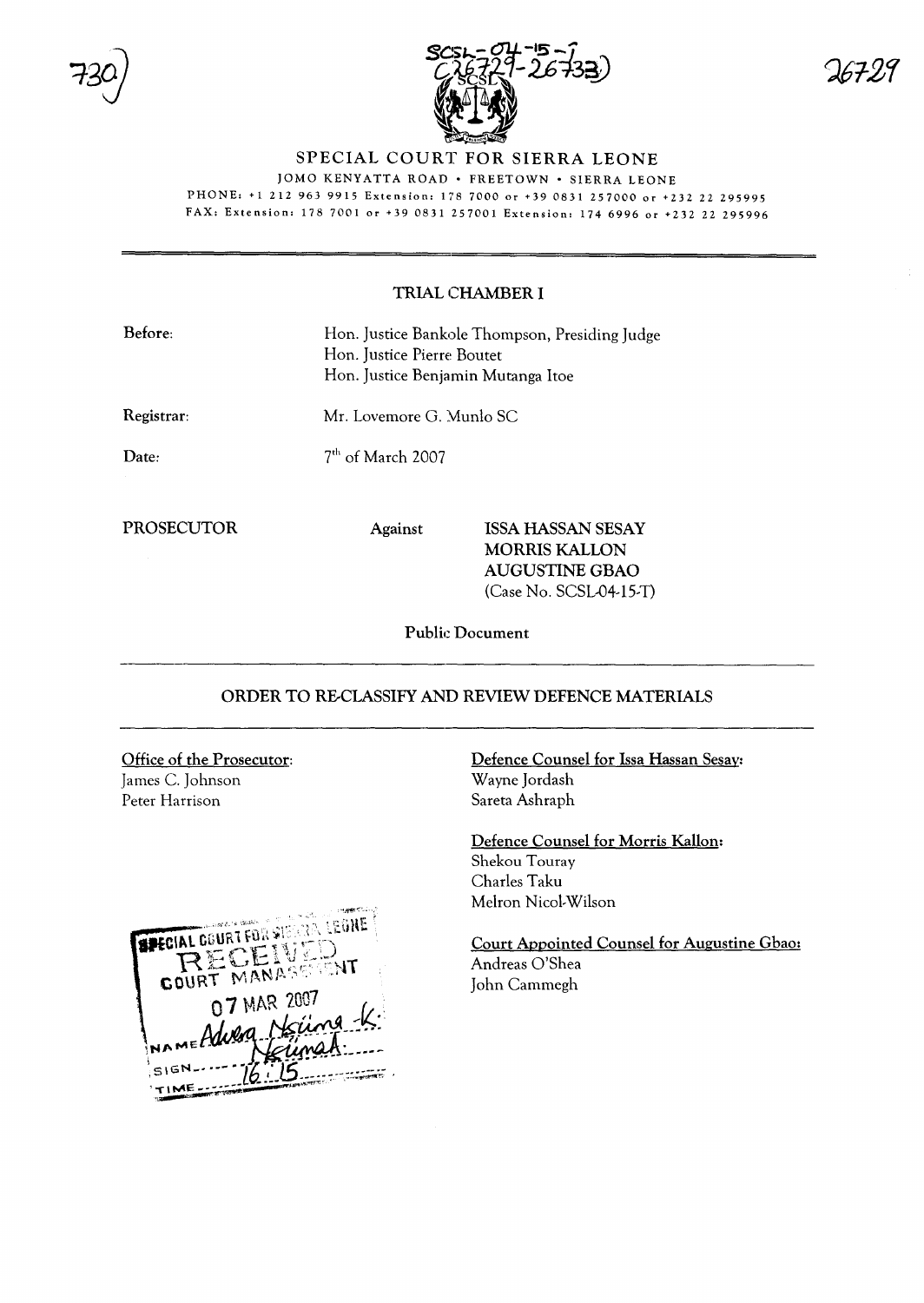



## SPECIAL COURT FOR SIERRA LEONE

JOMO KENYATTA ROAD · FREETOWN · SIERRA LEONE PHONE: +1 212 963 9915 Extension: 178 7000 or +39 0831 257000 or +232 22 295995

FAX: Extension: 178 7001 or +39 0831 257001 Extension: 174 6996 or +232 22 295996

## TRIAL CHAMBER I

| Before:    | Hon. Justice Bankole Thompson, Presiding Judge<br>Hon. Justice Pierre Boutet<br>Hon. Justice Benjamin Mutanga Itoe<br>Mr. Lovemore G. Munlo SC<br>7 <sup>th</sup> of March 2007 |                                                                                                       |  |
|------------|---------------------------------------------------------------------------------------------------------------------------------------------------------------------------------|-------------------------------------------------------------------------------------------------------|--|
| Registrar: |                                                                                                                                                                                 |                                                                                                       |  |
| Date:      |                                                                                                                                                                                 |                                                                                                       |  |
| PROSECUTOR | <b>Against</b>                                                                                                                                                                  | <b>ISSA HASSAN SESAY</b><br><b>MORRIS KALLON</b><br><b>AUGUSTINE GBAO</b><br>$(Case No. SCSL04-15-T)$ |  |

Public Document

## ORDER TO RE-CLASSIFY AND REVIEW DEFENCE MATERIALS

Office of the Prosecutor: James C. Johnson Peter Harrison



Defence Counsel for Issa Hassan Sesay: Wayne Jordash Sareta Ashraph

Defence Counsel for Morris Kallon: Shekou Touray Charles Taku Melron Nicol-Wilson

Court Appointed Counsel for Augustine Gbao: Andreas O'Shea John Cammegh

 $20T21$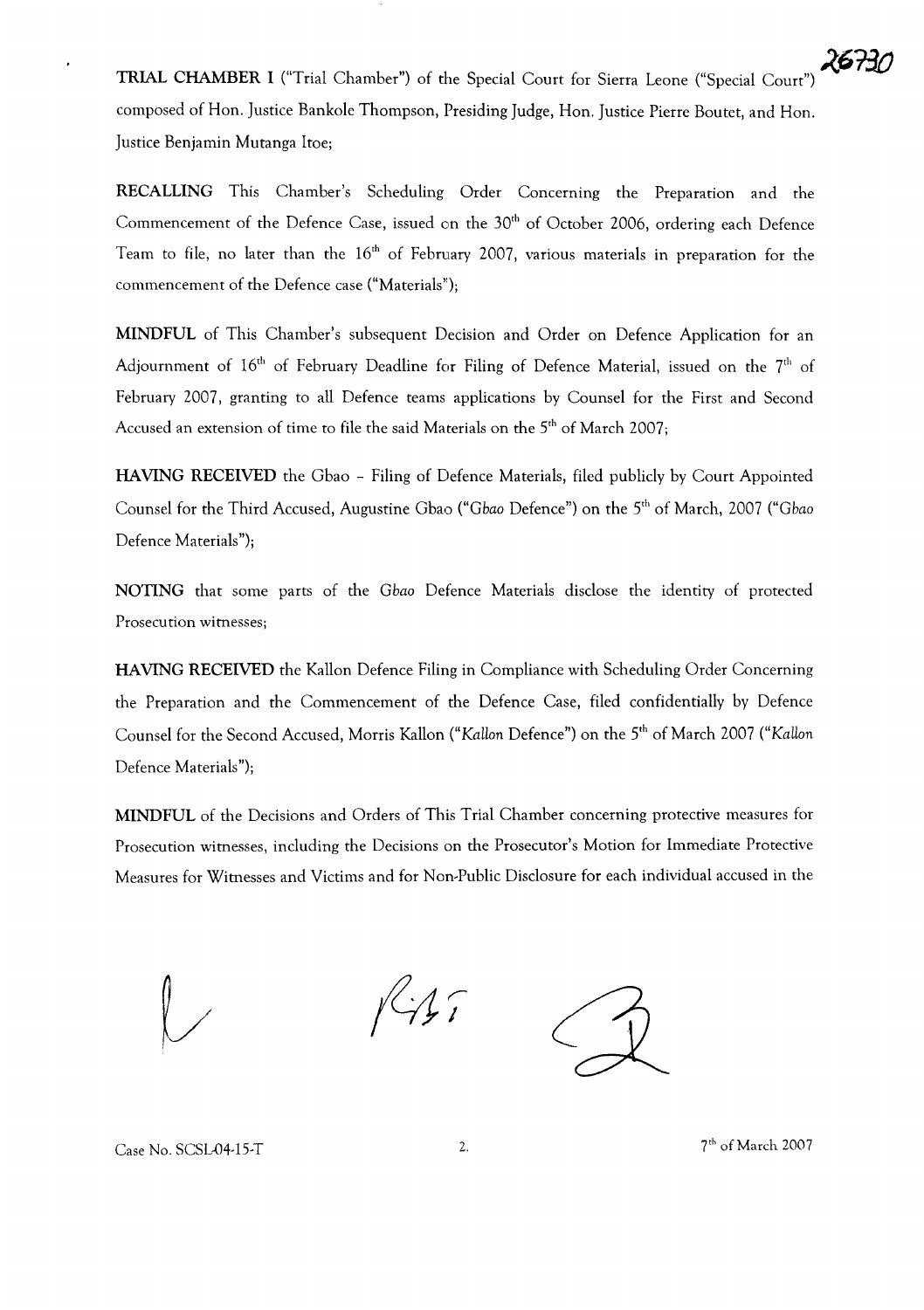**TRIAL CHAMBER I** ("Trial Chamber") of the Special Court for Sierra Leone ("Special Court") composed of Hon. Justice Bankole Thompson, Presiding Judge, Hon. Justice Pierre Boutet, and Hon. Justice Benjamin Mutanga ltoe;

**RECALLING** This Chamber's Scheduling Order Concerning the Preparation and the Commencement of the Defence Case, issued on the 30<sup>th</sup> of October 2006, ordering each Defence Team to file, no later than the  $16<sup>th</sup>$  of February 2007, various materials in preparation for the commencement of the Defence case ("Materials");

**MINDFUL** of This Chamber's subsequent Decision and Order on Defence Application for an Adjournment of  $16<sup>th</sup>$  of February Deadline for Filing of Defence Material, issued on the  $7<sup>th</sup>$  of February 2007, granting to all Defence teams applications by Counsel for the First and Second Accused an extension of time to file the said Materials on the 5<sup>th</sup> of March 2007;

**HAVING RECEIVED** the Gbao - Filing of Defence Materials, filed publicly by Court Appointed Counsel for the Third Accused, Augustine Gbao *("Gbaa* Defence") on the 5th of March, 2007 *("Gbaa* Defence Materials");

**NOTING** that some parts of the *Gbaa* Defence Materials disclose the identity of protected Prosecution witnesses;

**HAVING RECEIVED** the Kallon Defence Filing in Compliance with Scheduling Order Concerning the Preparation and the Commencement of the Defence Case, filed confidentially by Defence Counsel for the Second Accused, Morris Kallon ("*KaHan* Defence") on the 5th of March 2007 ("*Kallan* Defence Materials");

**MINDFUL** of the Decisions and Orders of This Trial Chamber concerning protective measures for Prosecution witnesses, including the Decisions on the Prosecutor's Motion for Immediare Protective Measures for Witnesses and Victims and for Non-Public Disclosure for each individual accused in the

*r* /

Case No. SCSL-04-15-T

2.  $7<sup>th</sup>$  of March 2007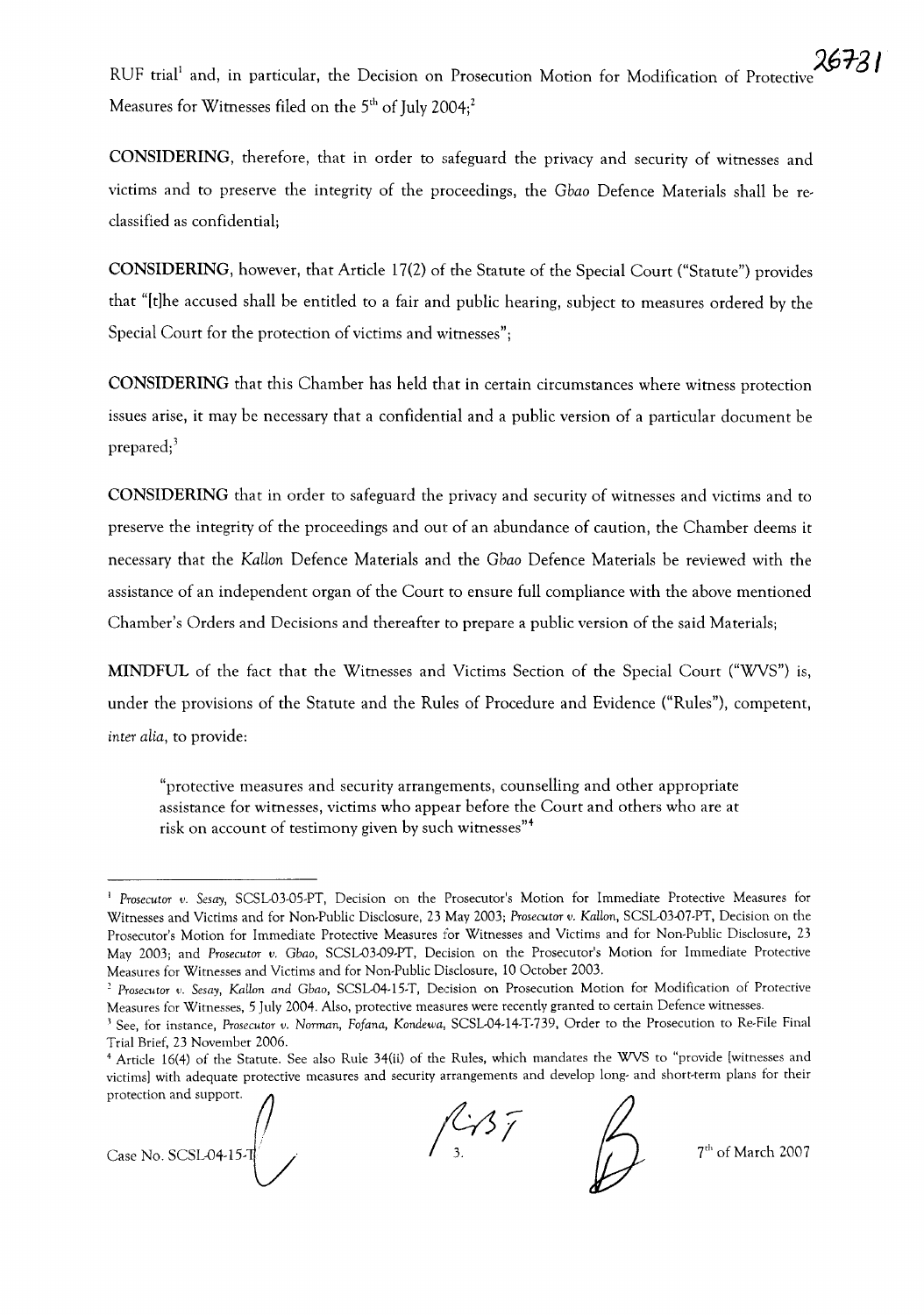RUF trial<sup>1</sup> and, in particular, the Decision on Prosecution Motion for Modification of Protective Measures for Witnesses filed on the  $5<sup>th</sup>$  of July 2004;<sup>2</sup>

**CONSIDERING,** therefore, that in order to safeguard the privacy and security of witnesses and victims and to preserve the integrity of the proceedings, the *Gbao* Defence Materials shall be reclassified as confidential;

**CONSIDERING,** however, that Article 17(2) of the Statute of the Special Court ("Statute") provides that "[tlhe accused shall be entitled to a fair and public hearing, subject to measures ordered by the Special Court for the protection of victims and witnesses";

**CONSIDERING** that this Chamber has held that in certain circumstances where witness protection issues arise, it may be necessary that a confidential and a public version of a particular document be prepared;<sup>3</sup>

**CONSIDERING** that in order to safeguard the privacy and security of witnesses and victims and to preserve the integrity of the proceedings and out of an abundance of caution, the Chamber deems it necessary that the *KaHon* Defence Materials and the *Gbao* Defence Materials be reviewed with the assistance of an independent organ of the Court to ensure full compliance with the above mentioned Chamber's Orders and Decisions and thereafter to prepare a public version of the said Materials;

**MINDFUL** of the fact that the Witnesses and Victims Section of the Special Court ("WVS") is, under the provisions of the Statute and the Rules of Procedure and Evidence ("Rules"), competent, *inter alia,* to provide:

"protective measures and security arrangements, counselling and other appropriate assistance for witnesses, victims who appear before the Court and others who are at risk on account of testimony given by such witnesses"4

Case No. SCSL04-15-1  $\sqrt{37}$ 

7<sup>th</sup> of March 2007

<sup>&</sup>lt;sup>1</sup> Prosecutor v. Sesay, SCSL-03-05-PT, Decision on the Prosecutor's Motion for Immediate Protective Measures for Witnesses and Victims and for Non-Public Disclosure, 23 May 2003; *Prosecutor v. Katlon,* SCSL-03-07-PT, Decision on the Prosecutor's Motion for Immediate Protective Measures for Witnesses and Victims and for Non-Public Disclosure, 23 May 2003; and *Prosecutor v. Gbao,* SCSL-03-09-PT, Decision on the Prosecutor's Motion for Immediate Protective Measures for Witnesses and Victims and for Non-Public Disclosure, 10 October 2003.

*<sup>2</sup> Prosecutor v. Sesay, Katlon and Gbao,* SCSL-04-15-T, Decision on Prosecution Motion for Modification of Protective Measures for Witnesses, 5 July 2004. Also, protective measures were recently granted to certain Defence witnesses.

<sup>J</sup> See, for instance, *Prosecutor v. Norman, Fofana, Kondewa,* SCSL-04-14-T-739, Order to the Prosecution to Re-File Final Trial Brief, 23 November 2006.

<sup>&</sup>lt;sup>4</sup> Article 16(4) of the Statute. See also Rule 34(ii) of the Rules, which mandates the WVS to "provide [witnesses and victims] with adequate protective measures and security arrangements and develop long- and short-term victims] with adequate protective measures and security arrangements and develop long- and short-term plans for their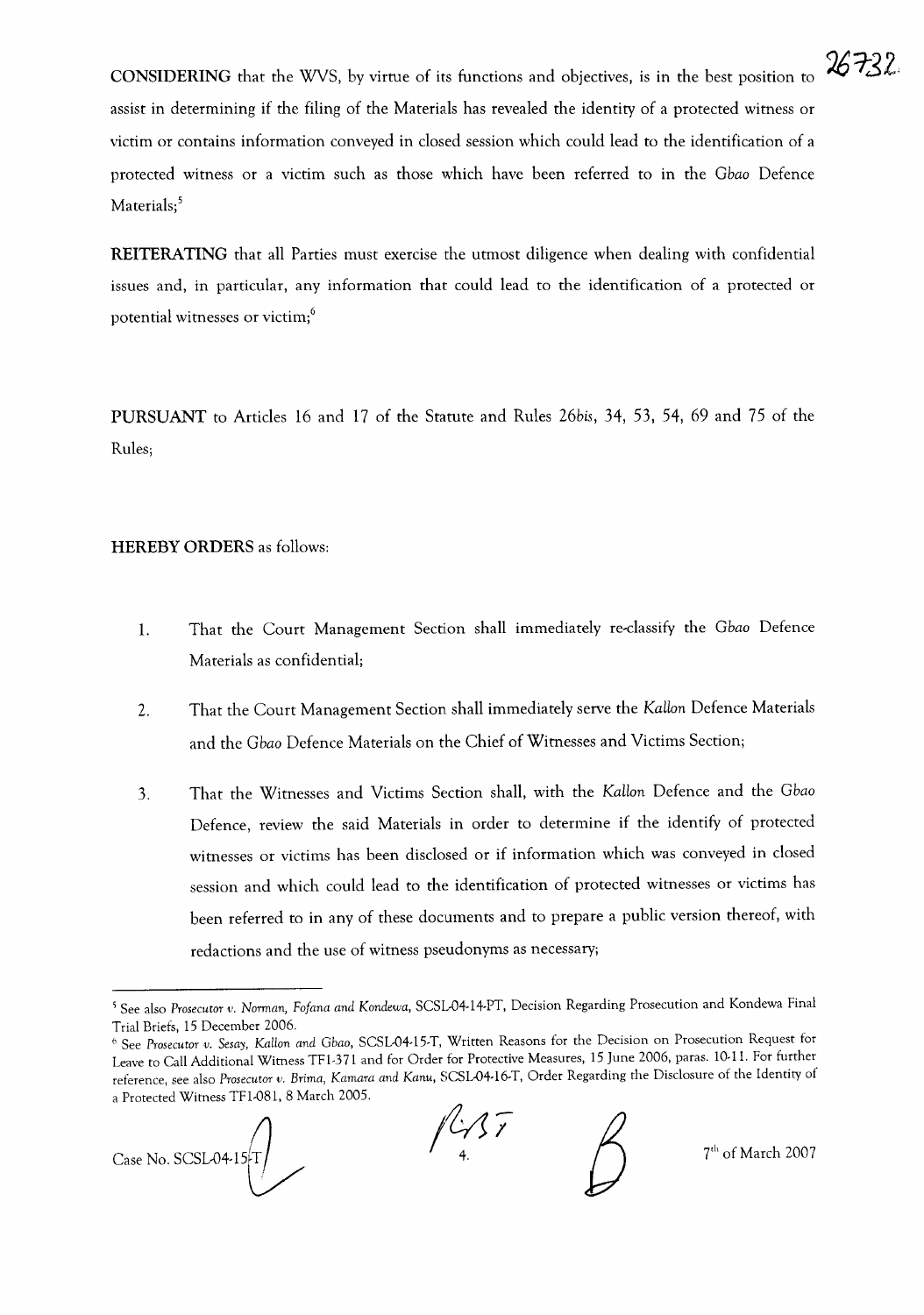**CONSIDERING** that the WVS, by virtue of its functions and objectives, is in the best position to assist in determining if the filing of the Materials has revealed the identity of a protected witness or victim or contains information conveyed in closed session which could lead to the identification of a protected witness or a victim such as those which have been referred to in the *Gbao* Defence Materials;<sup>5</sup>

**REITERATING** that all Parties must exercise the utmost diligence when dealing with confidential issues and, in particular, any information that could lead to the identification of a protected or potential witnesses or victim;<sup>6</sup>

**PURSUANT** to Articles 16 and 17 of the Statute and Rules *26bis,* 34, 53, 54, 69 and 75 of the Rules;

## **HEREBY ORDERS** as follows:

- 1. That the Court Management Section shall immediately re-classify the *Gbao* Defence Materials as confidential;
- 2. That the Court Management Section shall immediately serve the *KaHan* Defence Materials and the *Gbao* Defence Materials on the Chief of Witnesses and Victims Section;
- 3. That the Witnesses and Victims Section shall, with the *KaHan* Defence and the *Gbao* Defence, review the said Materials in order to determine if the identify of protected witnesses or victims has been disclosed or if information which was conveyed in closed session and which could lead to the identification of protected witnesses or victims has been referred to in any of these documents and to prepare a public version thereof, with redactions and the use of witness pseudonyms as necessary;

Case No. SCSL04-15-T

*(&11*

7<sup>th</sup> of March 2007

26732

<sup>\</sup> See also *Prosecutor v. Norman, Fa/ana and Kondewa,* SCSL-04-14-PT, Decision Regarding Prosecution and Kondewa Final Trial Briefs, 15 December 2006.

<sup>6</sup> See *Prosecutor v. Sesay, KatLon and Gbao,* SCSL-04-15-T, Written Reasons for the Decision on Prosecution Request for Leave to Call Additional Witness TFl-371 and for Order for Protective Measures, 15 June 2006, paras. 10-11. For further reference, see also *Prosecutor v. Brima, Kamara and Kanu,* SCSL-04-16-T, Order Regarding the Disclosure of the Identity of a Protected Witness TFl-081, 8 March 2005.